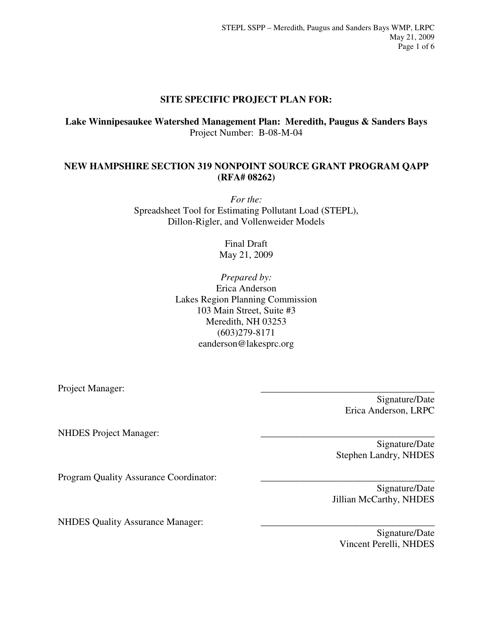# **SITE SPECIFIC PROJECT PLAN FOR:**

**Lake Winnipesaukee Watershed Management Plan: Meredith, Paugus & Sanders Bays**  Project Number: B-08-M-04

### **NEW HAMPSHIRE SECTION 319 NONPOINT SOURCE GRANT PROGRAM QAPP (RFA# 08262)**

*For the:*  Spreadsheet Tool for Estimating Pollutant Load (STEPL), Dillon-Rigler, and Vollenweider Models

> Final Draft May 21, 2009

*Prepared by:* Erica Anderson Lakes Region Planning Commission 103 Main Street, Suite #3 Meredith, NH 03253 (603)279-8171 eanderson@lakesprc.org

Project Manager:

Signature/Date Erica Anderson, LRPC

NHDES Project Manager:

Signature/Date Stephen Landry, NHDES

Program Quality Assurance Coordinator:

NHDES Quality Assurance Manager:

Jillian McCarthy, NHDES

Signature/Date

Signature/Date Vincent Perelli, NHDES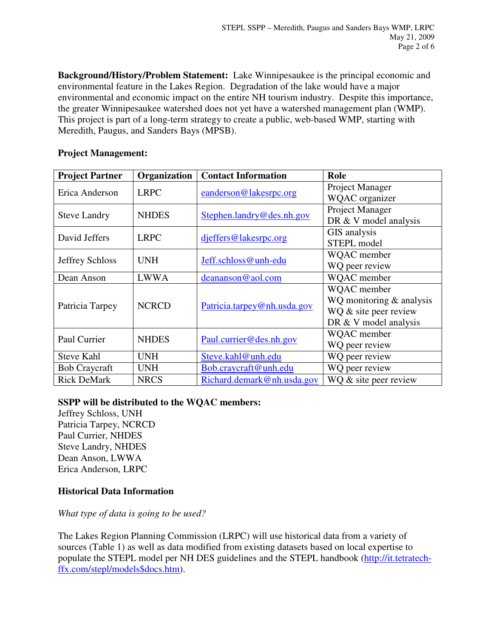**Background/History/Problem Statement:** Lake Winnipesaukee is the principal economic and environmental feature in the Lakes Region. Degradation of the lake would have a major environmental and economic impact on the entire NH tourism industry. Despite this importance, the greater Winnipesaukee watershed does not yet have a watershed management plan (WMP). This project is part of a long-term strategy to create a public, web-based WMP, starting with Meredith, Paugus, and Sanders Bays (MPSB).

### **Project Management:**

| <b>Project Partner</b> | Organization | <b>Contact Information</b>  | Role                       |
|------------------------|--------------|-----------------------------|----------------------------|
| Erica Anderson         | <b>LRPC</b>  | eanderson@lakesrpc.org      | Project Manager            |
|                        |              |                             | <b>WQAC</b> organizer      |
| <b>Steve Landry</b>    | <b>NHDES</b> | Stephen.landry@des.nh.gov   | Project Manager            |
|                        |              |                             | DR & V model analysis      |
| David Jeffers          | <b>LRPC</b>  | djeffers@lakesrpc.org       | GIS analysis               |
|                        |              |                             | STEPL model                |
| <b>Jeffrey Schloss</b> | <b>UNH</b>   | Jeff.schloss@unh-edu        | WQAC member                |
|                        |              |                             | WQ peer review             |
| Dean Anson             | <b>LWWA</b>  | deananson@aol.com           | WQAC member                |
| Patricia Tarpey        | <b>NCRCD</b> | Patricia.tarpey@nh.usda.gov | WQAC member                |
|                        |              |                             | WQ monitoring $&$ analysis |
|                        |              |                             | WQ & site peer review      |
|                        |              |                             | DR & V model analysis      |
| Paul Currier           | <b>NHDES</b> | Paul.currier@des.nh.gov     | WQAC member                |
|                        |              |                             | WQ peer review             |
| <b>Steve Kahl</b>      | <b>UNH</b>   | Steve.kahl@unh.edu          | WQ peer review             |
| <b>Bob Craycraft</b>   | <b>UNH</b>   | Bob.craycraft@unh.edu       | WQ peer review             |
| <b>Rick DeMark</b>     | <b>NRCS</b>  | Richard.demark@nh.usda.gov  | WQ & site peer review      |

#### **SSPP will be distributed to the WQAC members:**

Jeffrey Schloss, UNH Patricia Tarpey, NCRCD Paul Currier, NHDES Steve Landry, NHDES Dean Anson, LWWA Erica Anderson, LRPC

# **Historical Data Information**

#### *What type of data is going to be used?*

The Lakes Region Planning Commission (LRPC) will use historical data from a variety of sources (Table 1) as well as data modified from existing datasets based on local expertise to populate the STEPL model per NH DES guidelines and the STEPL handbook (http://it.tetratechffx.com/stepl/models\$docs.htm).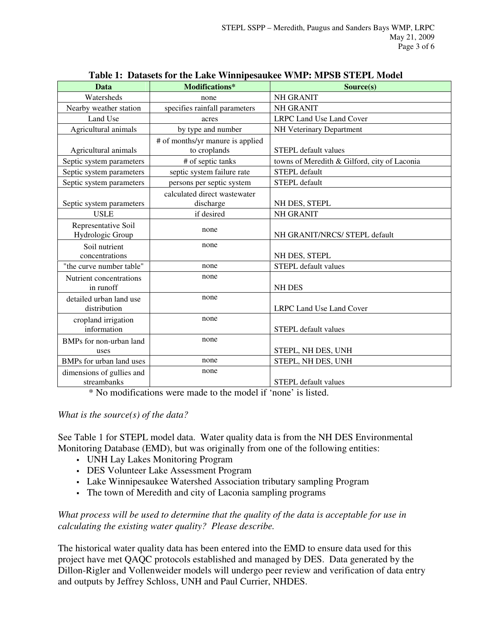| Table 1: Datasets for the Lake Willingesaukee WMF; MFSD STEFL Model |                                                  |                                              |  |  |
|---------------------------------------------------------------------|--------------------------------------------------|----------------------------------------------|--|--|
| <b>Data</b>                                                         | Modifications*                                   | Source(s)                                    |  |  |
| Watersheds                                                          | none                                             | <b>NH GRANIT</b>                             |  |  |
| Nearby weather station                                              | specifies rainfall parameters                    | <b>NH GRANIT</b>                             |  |  |
| Land Use                                                            | acres                                            | LRPC Land Use Land Cover                     |  |  |
| Agricultural animals                                                | by type and number                               | NH Veterinary Department                     |  |  |
| Agricultural animals                                                | # of months/yr manure is applied<br>to croplands | <b>STEPL</b> default values                  |  |  |
| Septic system parameters                                            | # of septic tanks                                | towns of Meredith & Gilford, city of Laconia |  |  |
| Septic system parameters                                            | septic system failure rate                       | <b>STEPL</b> default                         |  |  |
| Septic system parameters                                            | persons per septic system                        | STEPL default                                |  |  |
| Septic system parameters                                            | calculated direct wastewater<br>discharge        | NH DES, STEPL                                |  |  |
| <b>USLE</b>                                                         | if desired                                       | <b>NH GRANIT</b>                             |  |  |
| Representative Soil<br>Hydrologic Group                             | none                                             | NH GRANIT/NRCS/ STEPL default                |  |  |
| Soil nutrient<br>concentrations                                     | none                                             | NH DES, STEPL                                |  |  |
| "the curve number table"                                            | none                                             | <b>STEPL</b> default values                  |  |  |
| Nutrient concentrations<br>in runoff                                | none                                             | <b>NH DES</b>                                |  |  |
| detailed urban land use<br>distribution                             | none                                             | LRPC Land Use Land Cover                     |  |  |
| cropland irrigation<br>information                                  | none                                             | <b>STEPL</b> default values                  |  |  |
| BMPs for non-urban land<br>uses                                     | none                                             | STEPL, NH DES, UNH                           |  |  |
| BMPs for urban land uses                                            | none                                             | STEPL, NH DES, UNH                           |  |  |
| dimensions of gullies and<br>streambanks                            | none                                             | <b>STEPL</b> default values                  |  |  |

**Table 1: Datasets for the Lake Winnipesaukee WMP: MPSB STEPL Model** 

\* No modifications were made to the model if 'none' is listed.

#### *What is the source(s) of the data?*

See Table 1 for STEPL model data. Water quality data is from the NH DES Environmental Monitoring Database (EMD), but was originally from one of the following entities:

- UNH Lay Lakes Monitoring Program
- DES Volunteer Lake Assessment Program
- Lake Winnipesaukee Watershed Association tributary sampling Program
- The town of Meredith and city of Laconia sampling programs

# *What process will be used to determine that the quality of the data is acceptable for use in calculating the existing water quality? Please describe.*

The historical water quality data has been entered into the EMD to ensure data used for this project have met QAQC protocols established and managed by DES. Data generated by the Dillon-Rigler and Vollenweider models will undergo peer review and verification of data entry and outputs by Jeffrey Schloss, UNH and Paul Currier, NHDES.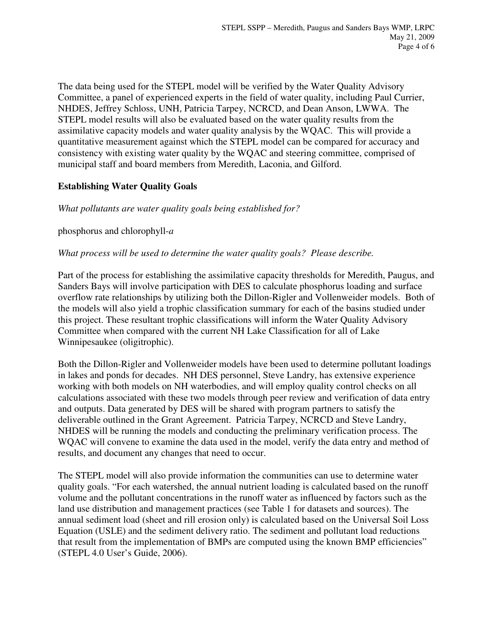The data being used for the STEPL model will be verified by the Water Quality Advisory Committee, a panel of experienced experts in the field of water quality, including Paul Currier, NHDES, Jeffrey Schloss, UNH, Patricia Tarpey, NCRCD, and Dean Anson, LWWA. The STEPL model results will also be evaluated based on the water quality results from the assimilative capacity models and water quality analysis by the WQAC. This will provide a quantitative measurement against which the STEPL model can be compared for accuracy and consistency with existing water quality by the WQAC and steering committee, comprised of municipal staff and board members from Meredith, Laconia, and Gilford.

# **Establishing Water Quality Goals**

*What pollutants are water quality goals being established for?* 

phosphorus and chlorophyll-*a*

*What process will be used to determine the water quality goals? Please describe.* 

Part of the process for establishing the assimilative capacity thresholds for Meredith, Paugus, and Sanders Bays will involve participation with DES to calculate phosphorus loading and surface overflow rate relationships by utilizing both the Dillon-Rigler and Vollenweider models. Both of the models will also yield a trophic classification summary for each of the basins studied under this project. These resultant trophic classifications will inform the Water Quality Advisory Committee when compared with the current NH Lake Classification for all of Lake Winnipesaukee (oligitrophic).

Both the Dillon-Rigler and Vollenweider models have been used to determine pollutant loadings in lakes and ponds for decades. NH DES personnel, Steve Landry, has extensive experience working with both models on NH waterbodies, and will employ quality control checks on all calculations associated with these two models through peer review and verification of data entry and outputs. Data generated by DES will be shared with program partners to satisfy the deliverable outlined in the Grant Agreement. Patricia Tarpey, NCRCD and Steve Landry, NHDES will be running the models and conducting the preliminary verification process. The WQAC will convene to examine the data used in the model, verify the data entry and method of results, and document any changes that need to occur.

The STEPL model will also provide information the communities can use to determine water quality goals. "For each watershed, the annual nutrient loading is calculated based on the runoff volume and the pollutant concentrations in the runoff water as influenced by factors such as the land use distribution and management practices (see Table 1 for datasets and sources). The annual sediment load (sheet and rill erosion only) is calculated based on the Universal Soil Loss Equation (USLE) and the sediment delivery ratio. The sediment and pollutant load reductions that result from the implementation of BMPs are computed using the known BMP efficiencies" (STEPL 4.0 User's Guide, 2006).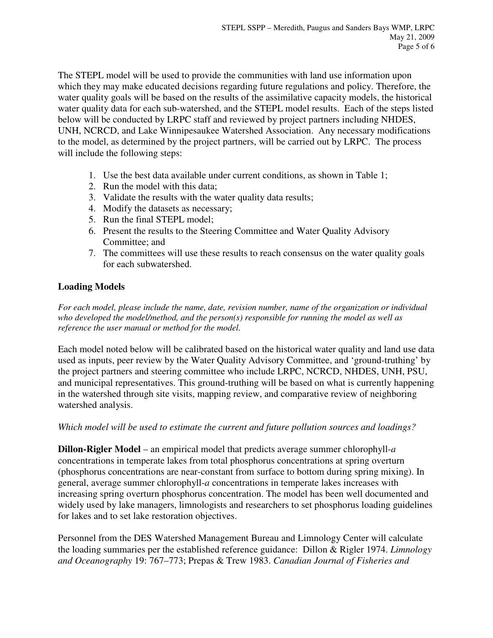The STEPL model will be used to provide the communities with land use information upon which they may make educated decisions regarding future regulations and policy. Therefore, the water quality goals will be based on the results of the assimilative capacity models, the historical water quality data for each sub-watershed, and the STEPL model results. Each of the steps listed below will be conducted by LRPC staff and reviewed by project partners including NHDES, UNH, NCRCD, and Lake Winnipesaukee Watershed Association. Any necessary modifications to the model, as determined by the project partners, will be carried out by LRPC. The process will include the following steps:

- 1. Use the best data available under current conditions, as shown in Table 1;
- 2. Run the model with this data;
- 3. Validate the results with the water quality data results;
- 4. Modify the datasets as necessary;
- 5. Run the final STEPL model;
- 6. Present the results to the Steering Committee and Water Quality Advisory Committee; and
- 7. The committees will use these results to reach consensus on the water quality goals for each subwatershed.

### **Loading Models**

*For each model, please include the name, date, revision number, name of the organization or individual who developed the model/method, and the person(s) responsible for running the model as well as reference the user manual or method for the model.* 

Each model noted below will be calibrated based on the historical water quality and land use data used as inputs, peer review by the Water Quality Advisory Committee, and 'ground-truthing' by the project partners and steering committee who include LRPC, NCRCD, NHDES, UNH, PSU, and municipal representatives. This ground-truthing will be based on what is currently happening in the watershed through site visits, mapping review, and comparative review of neighboring watershed analysis.

*Which model will be used to estimate the current and future pollution sources and loadings?* 

**Dillon-Rigler Model** – an empirical model that predicts average summer chlorophyll-*a* concentrations in temperate lakes from total phosphorus concentrations at spring overturn (phosphorus concentrations are near-constant from surface to bottom during spring mixing). In general, average summer chlorophyll-*a* concentrations in temperate lakes increases with increasing spring overturn phosphorus concentration. The model has been well documented and widely used by lake managers, limnologists and researchers to set phosphorus loading guidelines for lakes and to set lake restoration objectives.

Personnel from the DES Watershed Management Bureau and Limnology Center will calculate the loading summaries per the established reference guidance: Dillon & Rigler 1974. *Limnology and Oceanography* 19: 767–773; Prepas & Trew 1983. *Canadian Journal of Fisheries and*